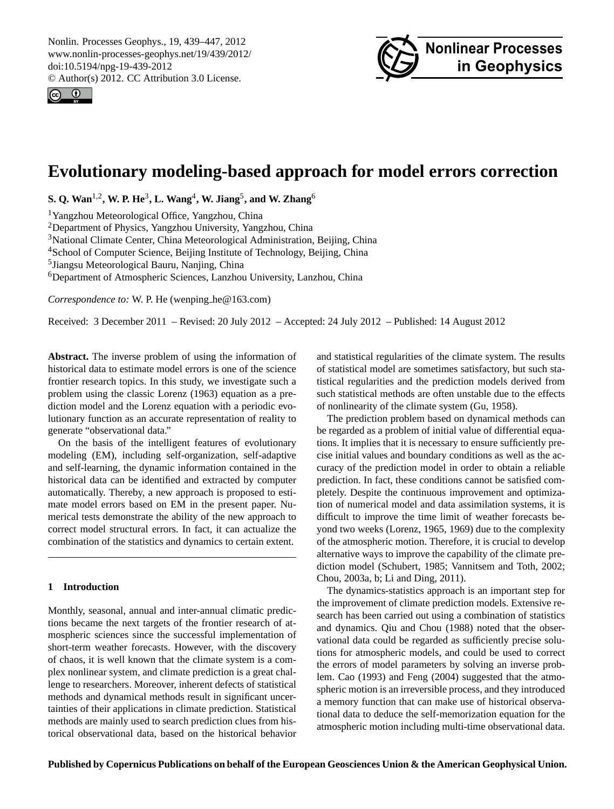<span id="page-0-0"></span>Nonlin. Processes Geophys., 19, 439–447, 2012 www.nonlin-processes-geophys.net/19/439/2012/ doi:10.5194/npg-19-439-2012 © Author(s) 2012. CC Attribution 3.0 License.





# **Evolutionary modeling-based approach for model errors correction**

**S. Q. Wan**1,2**, W. P. He**<sup>3</sup> **, L. Wang**<sup>4</sup> **, W. Jiang**<sup>5</sup> **, and W. Zhang**<sup>6</sup>

<sup>1</sup>Yangzhou Meteorological Office, Yangzhou, China

<sup>2</sup>Department of Physics, Yangzhou University, Yangzhou, China

<sup>3</sup>National Climate Center, China Meteorological Administration, Beijing, China

<sup>4</sup>School of Computer Science, Beijing Institute of Technology, Beijing, China

5 Jiangsu Meteorological Bauru, Nanjing, China

<sup>6</sup>Department of Atmospheric Sciences, Lanzhou University, Lanzhou, China

*Correspondence to:* W. P. He (wenping\_he@163.com)

Received: 3 December 2011 – Revised: 20 July 2012 – Accepted: 24 July 2012 – Published: 14 August 2012

**Abstract.** The inverse problem of using the information of historical data to estimate model errors is one of the science frontier research topics. In this study, we investigate such a problem using the classic Lorenz (1963) equation as a prediction model and the Lorenz equation with a periodic evolutionary function as an accurate representation of reality to generate "observational data."

On the basis of the intelligent features of evolutionary modeling (EM), including self-organization, self-adaptive and self-learning, the dynamic information contained in the historical data can be identified and extracted by computer automatically. Thereby, a new approach is proposed to estimate model errors based on EM in the present paper. Numerical tests demonstrate the ability of the new approach to correct model structural errors. In fact, it can actualize the combination of the statistics and dynamics to certain extent.

## **1 Introduction**

Monthly, seasonal, annual and inter-annual climatic predictions became the next targets of the frontier research of atmospheric sciences since the successful implementation of short-term weather forecasts. However, with the discovery of chaos, it is well known that the climate system is a complex nonlinear system, and climate prediction is a great challenge to researchers. Moreover, inherent defects of statistical methods and dynamical methods result in significant uncertainties of their applications in climate prediction. Statistical methods are mainly used to search prediction clues from historical observational data, based on the historical behavior and statistical regularities of the climate system. The results of statistical model are sometimes satisfactory, but such statistical regularities and the prediction models derived from such statistical methods are often unstable due to the effects of nonlinearity of the climate system (Gu, 1958).

The prediction problem based on dynamical methods can be regarded as a problem of initial value of differential equations. It implies that it is necessary to ensure sufficiently precise initial values and boundary conditions as well as the accuracy of the prediction model in order to obtain a reliable prediction. In fact, these conditions cannot be satisfied completely. Despite the continuous improvement and optimization of numerical model and data assimilation systems, it is difficult to improve the time limit of weather forecasts beyond two weeks (Lorenz, 1965, 1969) due to the complexity of the atmospheric motion. Therefore, it is crucial to develop alternative ways to improve the capability of the climate prediction model (Schubert, 1985; Vannitsem and Toth, 2002; Chou, 2003a, b; Li and Ding, 2011).

The dynamics-statistics approach is an important step for the improvement of climate prediction models. Extensive research has been carried out using a combination of statistics and dynamics. Qiu and Chou (1988) noted that the observational data could be regarded as sufficiently precise solutions for atmospheric models, and could be used to correct the errors of model parameters by solving an inverse problem. Cao (1993) and Feng (2004) suggested that the atmospheric motion is an irreversible process, and they introduced a memory function that can make use of historical observational data to deduce the self-memorization equation for the atmospheric motion including multi-time observational data.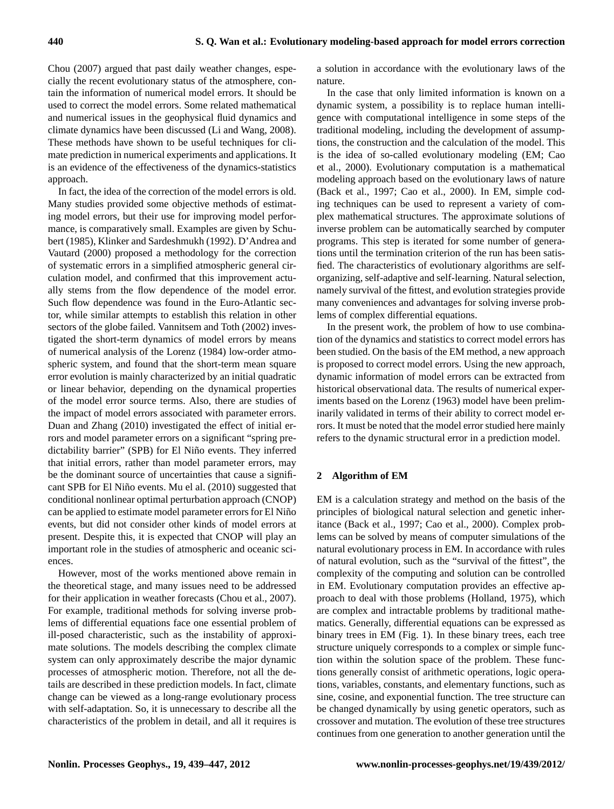Chou (2007) argued that past daily weather changes, especially the recent evolutionary status of the atmosphere, contain the information of numerical model errors. It should be used to correct the model errors. Some related mathematical and numerical issues in the geophysical fluid dynamics and climate dynamics have been discussed (Li and Wang, 2008). These methods have shown to be useful techniques for climate prediction in numerical experiments and applications. It is an evidence of the effectiveness of the dynamics-statistics approach.

In fact, the idea of the correction of the model errors is old. Many studies provided some objective methods of estimating model errors, but their use for improving model performance, is comparatively small. Examples are given by Schubert (1985), Klinker and Sardeshmukh (1992). D'Andrea and Vautard (2000) proposed a methodology for the correction of systematic errors in a simplified atmospheric general circulation model, and confirmed that this improvement actually stems from the flow dependence of the model error. Such flow dependence was found in the Euro-Atlantic sector, while similar attempts to establish this relation in other sectors of the globe failed. Vannitsem and Toth (2002) investigated the short-term dynamics of model errors by means of numerical analysis of the Lorenz (1984) low-order atmospheric system, and found that the short-term mean square error evolution is mainly characterized by an initial quadratic or linear behavior, depending on the dynamical properties of the model error source terms. Also, there are studies of the impact of model errors associated with parameter errors. Duan and Zhang (2010) investigated the effect of initial errors and model parameter errors on a significant "spring predictability barrier" (SPB) for El Niño events. They inferred that initial errors, rather than model parameter errors, may be the dominant source of uncertainties that cause a significant SPB for El Niño events. Mu el al. (2010) suggested that conditional nonlinear optimal perturbation approach (CNOP) can be applied to estimate model parameter errors for El Niño events, but did not consider other kinds of model errors at present. Despite this, it is expected that CNOP will play an important role in the studies of atmospheric and oceanic sciences.

However, most of the works mentioned above remain in the theoretical stage, and many issues need to be addressed for their application in weather forecasts (Chou et al., 2007). For example, traditional methods for solving inverse problems of differential equations face one essential problem of ill-posed characteristic, such as the instability of approximate solutions. The models describing the complex climate system can only approximately describe the major dynamic processes of atmospheric motion. Therefore, not all the details are described in these prediction models. In fact, climate change can be viewed as a long-range evolutionary process with self-adaptation. So, it is unnecessary to describe all the characteristics of the problem in detail, and all it requires is a solution in accordance with the evolutionary laws of the nature.

In the case that only limited information is known on a dynamic system, a possibility is to replace human intelligence with computational intelligence in some steps of the traditional modeling, including the development of assumptions, the construction and the calculation of the model. This is the idea of so-called evolutionary modeling (EM; Cao et al., 2000). Evolutionary computation is a mathematical modeling approach based on the evolutionary laws of nature (Back et al., 1997; Cao et al., 2000). In EM, simple coding techniques can be used to represent a variety of complex mathematical structures. The approximate solutions of inverse problem can be automatically searched by computer programs. This step is iterated for some number of generations until the termination criterion of the run has been satisfied. The characteristics of evolutionary algorithms are selforganizing, self-adaptive and self-learning. Natural selection, namely survival of the fittest, and evolution strategies provide many conveniences and advantages for solving inverse problems of complex differential equations.

In the present work, the problem of how to use combination of the dynamics and statistics to correct model errors has been studied. On the basis of the EM method, a new approach is proposed to correct model errors. Using the new approach, dynamic information of model errors can be extracted from historical observational data. The results of numerical experiments based on the Lorenz (1963) model have been preliminarily validated in terms of their ability to correct model errors. It must be noted that the model error studied here mainly refers to the dynamic structural error in a prediction model.

## **2 Algorithm of EM**

EM is a calculation strategy and method on the basis of the principles of biological natural selection and genetic inheritance (Back et al., 1997; Cao et al., 2000). Complex problems can be solved by means of computer simulations of the natural evolutionary process in EM. In accordance with rules of natural evolution, such as the "survival of the fittest", the complexity of the computing and solution can be controlled in EM. Evolutionary computation provides an effective approach to deal with those problems (Holland, 1975), which are complex and intractable problems by traditional mathematics. Generally, differential equations can be expressed as binary trees in EM (Fig. 1). In these binary trees, each tree structure uniquely corresponds to a complex or simple function within the solution space of the problem. These functions generally consist of arithmetic operations, logic operations, variables, constants, and elementary functions, such as sine, cosine, and exponential function. The tree structure can be changed dynamically by using genetic operators, such as crossover and mutation. The evolution of these tree structures continues from one generation to another generation until the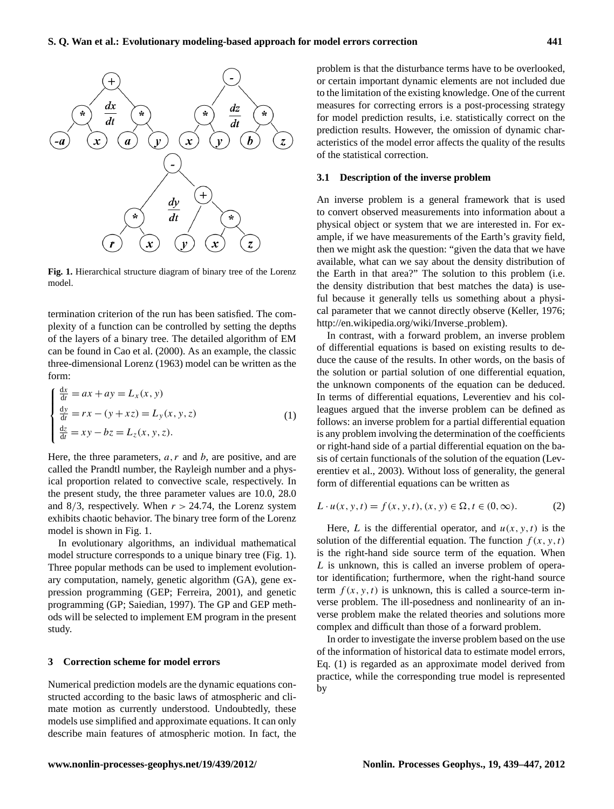

**Fig. 1.** Hierarchical structure diagram of binary tree of the Lorenz model.

termination criterion of the run has been satisfied. The complexity of a function can be controlled by setting the depths of the layers of a binary tree. The detailed algorithm of EM can be found in Cao et al. (2000). As an example, the classic three-dimensional Lorenz (1963) model can be written as the form:

$$
\begin{cases}\n\frac{dx}{dt} = ax + ay = L_x(x, y) \\
\frac{dy}{dt} = rx - (y + xz) = L_y(x, y, z) \\
\frac{dz}{dt} = xy - bz = L_z(x, y, z).\n\end{cases}
$$
\n(1)

Here, the three parameters,  $a, r$  and  $b$ , are positive, and are called the Prandtl number, the Rayleigh number and a physical proportion related to convective scale, respectively. In the present study, the three parameter values are 10.0, 28.0 and 8/3, respectively. When  $r > 24.74$ , the Lorenz system exhibits chaotic behavior. The binary tree form of the Lorenz model is shown in Fig. 1.

In evolutionary algorithms, an individual mathematical model structure corresponds to a unique binary tree (Fig. 1). Three popular methods can be used to implement evolutionary computation, namely, genetic algorithm (GA), gene expression programming (GEP; Ferreira, 2001), and genetic programming (GP; Saiedian, 1997). The GP and GEP methods will be selected to implement EM program in the present study.

## **3 Correction scheme for model errors**

Numerical prediction models are the dynamic equations constructed according to the basic laws of atmospheric and climate motion as currently understood. Undoubtedly, these models use simplified and approximate equations. It can only describe main features of atmospheric motion. In fact, the problem is that the disturbance terms have to be overlooked, or certain important dynamic elements are not included due to the limitation of the existing knowledge. One of the current measures for correcting errors is a post-processing strategy for model prediction results, i.e. statistically correct on the prediction results. However, the omission of dynamic characteristics of the model error affects the quality of the results of the statistical correction.

#### **3.1 Description of the inverse problem**

An inverse problem is a general framework that is used to convert observed measurements into information about a physical object or system that we are interested in. For example, if we have measurements of the Earth's gravity field, then we might ask the question: "given the data that we have available, what can we say about the density distribution of the Earth in that area?" The solution to this problem (i.e. the density distribution that best matches the data) is useful because it generally tells us something about a physical parameter that we cannot directly observe (Keller, 1976; [http://en.wikipedia.org/wiki/Inverse](http://en.wikipedia.org/wiki/Inverse_problem) problem).

In contrast, with a forward problem, an inverse problem of differential equations is based on existing results to deduce the cause of the results. In other words, on the basis of the solution or partial solution of one differential equation, the unknown components of the equation can be deduced. In terms of differential equations, Leverentiev and his colleagues argued that the inverse problem can be defined as follows: an inverse problem for a partial differential equation is any problem involving the determination of the coefficients or right-hand side of a partial differential equation on the basis of certain functionals of the solution of the equation (Leverentiev et al., 2003). Without loss of generality, the general form of differential equations can be written as

$$
L \cdot u(x, y, t) = f(x, y, t), (x, y) \in \Omega, t \in (0, \infty).
$$
 (2)

Here, L is the differential operator, and  $u(x, y, t)$  is the solution of the differential equation. The function  $f(x, y, t)$ is the right-hand side source term of the equation. When L is unknown, this is called an inverse problem of operator identification; furthermore, when the right-hand source term  $f(x, y, t)$  is unknown, this is called a source-term inverse problem. The ill-posedness and nonlinearity of an inverse problem make the related theories and solutions more complex and difficult than those of a forward problem.

In order to investigate the inverse problem based on the use of the information of historical data to estimate model errors, Eq. (1) is regarded as an approximate model derived from practice, while the corresponding true model is represented by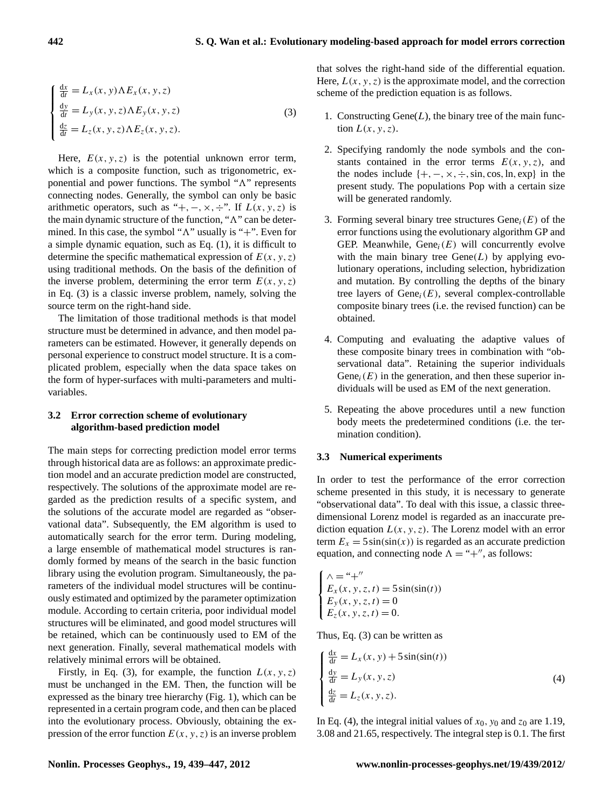$$
\begin{cases}\n\frac{dx}{dt} = L_x(x, y) \Lambda E_x(x, y, z) \\
\frac{dy}{dt} = L_y(x, y, z) \Lambda E_y(x, y, z) \\
\frac{dz}{dt} = L_z(x, y, z) \Lambda E_z(x, y, z).\n\end{cases}
$$
\n(3)

Here,  $E(x, y, z)$  is the potential unknown error term, which is a composite function, such as trigonometric, exponential and power functions. The symbol " $\Lambda$ " represents connecting nodes. Generally, the symbol can only be basic arithmetic operators, such as "+, –,  $\times$ , ÷". If  $L(x, y, z)$  is the main dynamic structure of the function, " $\Lambda$ " can be determined. In this case, the symbol " $\Lambda$ " usually is "+". Even for a simple dynamic equation, such as Eq. (1), it is difficult to determine the specific mathematical expression of  $E(x, y, z)$ using traditional methods. On the basis of the definition of the inverse problem, determining the error term  $E(x, y, z)$ in Eq. (3) is a classic inverse problem, namely, solving the source term on the right-hand side.

The limitation of those traditional methods is that model structure must be determined in advance, and then model parameters can be estimated. However, it generally depends on personal experience to construct model structure. It is a complicated problem, especially when the data space takes on the form of hyper-surfaces with multi-parameters and multivariables.

## **3.2 Error correction scheme of evolutionary algorithm-based prediction model**

The main steps for correcting prediction model error terms through historical data are as follows: an approximate prediction model and an accurate prediction model are constructed, respectively. The solutions of the approximate model are regarded as the prediction results of a specific system, and the solutions of the accurate model are regarded as "observational data". Subsequently, the EM algorithm is used to automatically search for the error term. During modeling, a large ensemble of mathematical model structures is randomly formed by means of the search in the basic function library using the evolution program. Simultaneously, the parameters of the individual model structures will be continuously estimated and optimized by the parameter optimization module. According to certain criteria, poor individual model structures will be eliminated, and good model structures will be retained, which can be continuously used to EM of the next generation. Finally, several mathematical models with relatively minimal errors will be obtained.

Firstly, in Eq. (3), for example, the function  $L(x, y, z)$ must be unchanged in the EM. Then, the function will be expressed as the binary tree hierarchy (Fig. 1), which can be represented in a certain program code, and then can be placed into the evolutionary process. Obviously, obtaining the expression of the error function  $E(x, y, z)$  is an inverse problem that solves the right-hand side of the differential equation. Here,  $L(x, y, z)$  is the approximate model, and the correction scheme of the prediction equation is as follows.

- 1. Constructing  $Gene(L)$ , the binary tree of the main function  $L(x, y, z)$ .
- 2. Specifying randomly the node symbols and the constants contained in the error terms  $E(x, y, z)$ , and the nodes include  $\{+, -, \times, \div, \sin, \cos, \ln, \exp\}$  in the present study. The populations Pop with a certain size will be generated randomly.
- 3. Forming several binary tree structures  $\text{Gene}_i(E)$  of the error functions using the evolutionary algorithm GP and GEP. Meanwhile,  $\text{Gene}_i(E)$  will concurrently evolve with the main binary tree  $\text{Gene}(L)$  by applying evolutionary operations, including selection, hybridization and mutation. By controlling the depths of the binary tree layers of  $\text{Gene}_i(E)$ , several complex-controllable composite binary trees (i.e. the revised function) can be obtained.
- 4. Computing and evaluating the adaptive values of these composite binary trees in combination with "observational data". Retaining the superior individuals Gene<sub>i</sub> $(E)$  in the generation, and then these superior individuals will be used as EM of the next generation.
- 5. Repeating the above procedures until a new function body meets the predetermined conditions (i.e. the termination condition).

#### **3.3 Numerical experiments**

In order to test the performance of the error correction scheme presented in this study, it is necessary to generate "observational data". To deal with this issue, a classic threedimensional Lorenz model is regarded as an inaccurate prediction equation  $L(x, y, z)$ . The Lorenz model with an error term  $E_x = 5\sin(\sin(x))$  is regarded as an accurate prediction equation, and connecting node  $\Lambda =$  "+", as follows:

$$
\begin{cases}\n\wedge = ``+'' \\
E_x(x, y, z, t) = 5\sin(\sin(t)) \\
E_y(x, y, z, t) = 0 \\
E_z(x, y, z, t) = 0.\n\end{cases}
$$

Thus, Eq. (3) can be written as

$$
\begin{cases}\n\frac{dx}{dt} = L_x(x, y) + 5\sin(\sin(t)) \\
\frac{dy}{dt} = L_y(x, y, z) \\
\frac{dz}{dt} = L_z(x, y, z).\n\end{cases}
$$
\n(4)

In Eq. (4), the integral initial values of  $x_0$ ,  $y_0$  and  $z_0$  are 1.19, 3.08 and 21.65, respectively. The integral step is 0.1. The first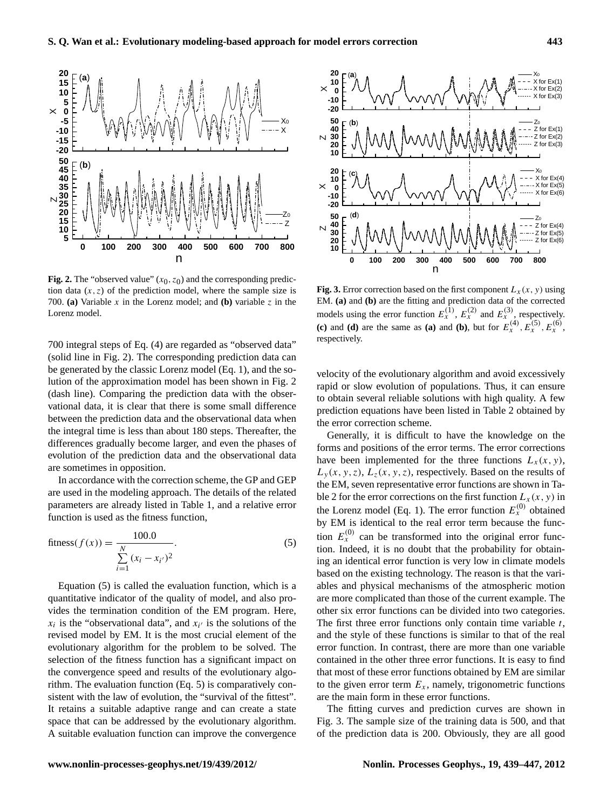

**Fig. 2.** The "observed value"  $(x_0, z_0)$  and the corresponding prediction data  $(x, z)$  of the prediction model, where the sample size is 700. **(a)** Variable x in the Lorenz model; and **(b)** variable z in the Lorenz model.

700 integral steps of Eq. (4) are regarded as "observed data" (solid line in Fig. 2). The corresponding prediction data can be generated by the classic Lorenz model (Eq. 1), and the solution of the approximation model has been shown in Fig. 2 (dash line). Comparing the prediction data with the observational data, it is clear that there is some small difference between the prediction data and the observational data when the integral time is less than about 180 steps. Thereafter, the differences gradually become larger, and even the phases of evolution of the prediction data and the observational data are sometimes in opposition.

In accordance with the correction scheme, the GP and GEP are used in the modeling approach. The details of the related parameters are already listed in Table 1, and a relative error function is used as the fitness function,

fitness
$$
f(t) = \frac{100.0}{\sum_{i=1}^{N} (x_i - x_{i'})^2}.
$$
 (5)

Equation (5) is called the evaluation function, which is a quantitative indicator of the quality of model, and also provides the termination condition of the EM program. Here,  $x_i$  is the "observational data", and  $x_i$  is the solutions of the revised model by EM. It is the most crucial element of the evolutionary algorithm for the problem to be solved. The selection of the fitness function has a significant impact on the convergence speed and results of the evolutionary algorithm. The evaluation function (Eq. 5) is comparatively consistent with the law of evolution, the "survival of the fittest". It retains a suitable adaptive range and can create a state space that can be addressed by the evolutionary algorithm. A suitable evaluation function can improve the convergence



**Fig. 3.** Error correction based on the first component  $L_x(x, y)$  using EM. **(a)** and **(b)** are the fitting and prediction data of the corrected models using the error function  $E_x^{(1)}$ ,  $E_x^{(2)}$  and  $E_x^{(3)}$ , respectively. **(c)** and **(d)** are the same as **(a)** and **(b)**, but for  $E_x^{(4)}$ ,  $E_x^{(5)}$ ,  $E_x^{(6)}$ , respectively.

velocity of the evolutionary algorithm and avoid excessively rapid or slow evolution of populations. Thus, it can ensure to obtain several reliable solutions with high quality. A few prediction equations have been listed in Table 2 obtained by the error correction scheme.

Generally, it is difficult to have the knowledge on the forms and positions of the error terms. The error corrections have been implemented for the three functions  $L_x(x, y)$ ,  $L_y(x, y, z)$ ,  $L_z(x, y, z)$ , respectively. Based on the results of the EM, seven representative error functions are shown in Table 2 for the error corrections on the first function  $L_x(x, y)$  in the Lorenz model (Eq. 1). The error function  $E_x^{(0)}$  obtained by EM is identical to the real error term because the function  $E_x^{(0)}$  can be transformed into the original error function. Indeed, it is no doubt that the probability for obtaining an identical error function is very low in climate models based on the existing technology. The reason is that the variables and physical mechanisms of the atmospheric motion are more complicated than those of the current example. The other six error functions can be divided into two categories. The first three error functions only contain time variable  $t$ , and the style of these functions is similar to that of the real error function. In contrast, there are more than one variable contained in the other three error functions. It is easy to find that most of these error functions obtained by EM are similar to the given error term  $E_x$ , namely, trigonometric functions are the main form in these error functions.

The fitting curves and prediction curves are shown in Fig. 3. The sample size of the training data is 500, and that of the prediction data is 200. Obviously, they are all good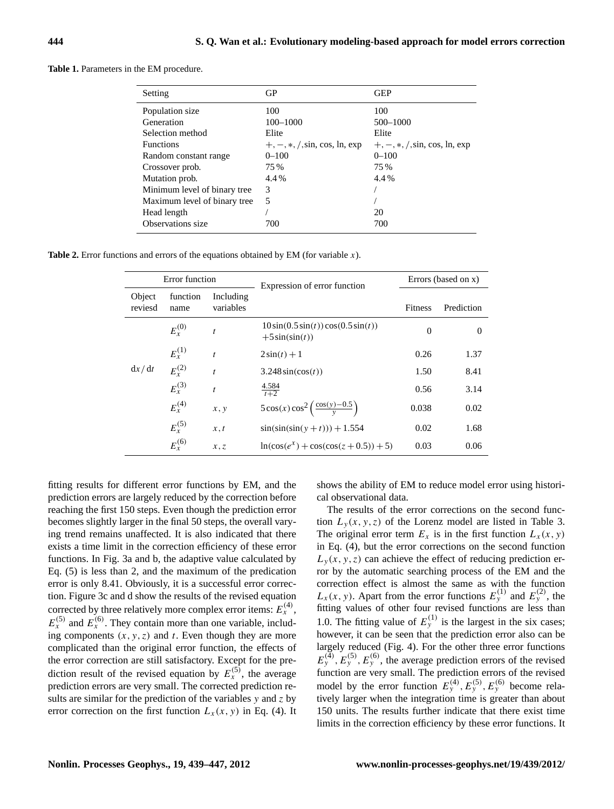|  |  |  |  | <b>Table 1.</b> Parameters in the EM procedure. |
|--|--|--|--|-------------------------------------------------|
|--|--|--|--|-------------------------------------------------|

| Setting                      | GP                                  | <b>GEP</b>                          |
|------------------------------|-------------------------------------|-------------------------------------|
| Population size              | 100                                 | 100                                 |
| Generation                   | $100 - 1000$                        | 500-1000                            |
| Selection method             | Elite                               | Elite                               |
| <b>Functions</b>             | $+, -, *, /, \sin, \cos, \ln, \exp$ | $+, -, *, /, \sin, \cos, \ln, \exp$ |
| Random constant range        | $0 - 100$                           | $0 - 100$                           |
| Crossover prob.              | 75%                                 | 75%                                 |
| Mutation prob.               | 4.4%                                | 4.4%                                |
| Minimum level of binary tree | 3                                   |                                     |
| Maximum level of binary tree | 5                                   |                                     |
| Head length                  |                                     | 20                                  |
| Observations size            | 700                                 | 700                                 |

**Table 2.** Error functions and errors of the equations obtained by EM (for variable x).

| Error function    |                  |                        | Expression of error function                              | Errors (based on x) |            |
|-------------------|------------------|------------------------|-----------------------------------------------------------|---------------------|------------|
| Object<br>reviesd | function<br>name | Including<br>variables |                                                           | <b>Fitness</b>      | Prediction |
|                   | $E_{x}^{(0)}$    | t                      | $10\sin(0.5\sin(t))\cos(0.5\sin(t))$<br>$+5\sin(\sin(t))$ | $\Omega$            | $\Omega$   |
|                   | $E_{x}^{(1)}$    | $\bar{t}$              | $2\sin(t)+1$                                              | 0.26                | 1.37       |
| dx/dt             | $E_{x}^{(2)}$    | $\boldsymbol{t}$       | $3.248\sin(\cos(t))$                                      | 1.50                | 8.41       |
|                   | $E_{x}^{(3)}$    | t                      | $\frac{4.584}{t+2}$                                       | 0.56                | 3.14       |
|                   | $E_{x}^{(4)}$    | x, y                   | $5\cos(x)\cos^2\left(\frac{\cos(y)-0.5}{v}\right)$        | 0.038               | 0.02       |
|                   | $E_{x}^{(5)}$    | x, t                   | $sin(sin(sin(y + t)) + 1.554)$                            | 0.02                | 1.68       |
|                   | $E_{x}^{(6)}$    | x, z                   | $ln(cos(e^x) + cos(cos(z + 0.5)) + 5)$                    | 0.03                | 0.06       |

fitting results for different error functions by EM, and the prediction errors are largely reduced by the correction before reaching the first 150 steps. Even though the prediction error becomes slightly larger in the final 50 steps, the overall varying trend remains unaffected. It is also indicated that there exists a time limit in the correction efficiency of these error functions. In Fig. 3a and b, the adaptive value calculated by Eq. (5) is less than 2, and the maximum of the predication error is only 8.41. Obviously, it is a successful error correction. Figure 3c and d show the results of the revised equation corrected by three relatively more complex error items:  $E_x^{(4)}$ ,  $E_x^{(5)}$  and  $E_x^{(6)}$ . They contain more than one variable, including components  $(x, y, z)$  and t. Even though they are more complicated than the original error function, the effects of the error correction are still satisfactory. Except for the prediction result of the revised equation by  $E_x^{(5)}$ , the average prediction errors are very small. The corrected prediction results are similar for the prediction of the variables  $y$  and  $z$  by error correction on the first function  $L_x(x, y)$  in Eq. (4). It shows the ability of EM to reduce model error using historical observational data.

The results of the error corrections on the second function  $L_y(x, y, z)$  of the Lorenz model are listed in Table 3. The original error term  $E_x$  is in the first function  $L_x(x, y)$ in Eq. (4), but the error corrections on the second function  $L_y(x, y, z)$  can achieve the effect of reducing prediction error by the automatic searching process of the EM and the correction effect is almost the same as with the function  $L_x(x, y)$ . Apart from the error functions  $E_y^{(1)}$  and  $E_y^{(2)}$ , the fitting values of other four revised functions are less than 1.0. The fitting value of  $E_y^{(1)}$  is the largest in the six cases; however, it can be seen that the prediction error also can be largely reduced (Fig. 4). For the other three error functions  $E_y^{(4)}$ ,  $E_y^{(5)}$ ,  $E_y^{(6)}$ , the average prediction errors of the revised function are very small. The prediction errors of the revised model by the error function  $E_y^{(4)}$ ,  $E_y^{(5)}$ ,  $E_y^{(6)}$  become relatively larger when the integration time is greater than about 150 units. The results further indicate that there exist time limits in the correction efficiency by these error functions. It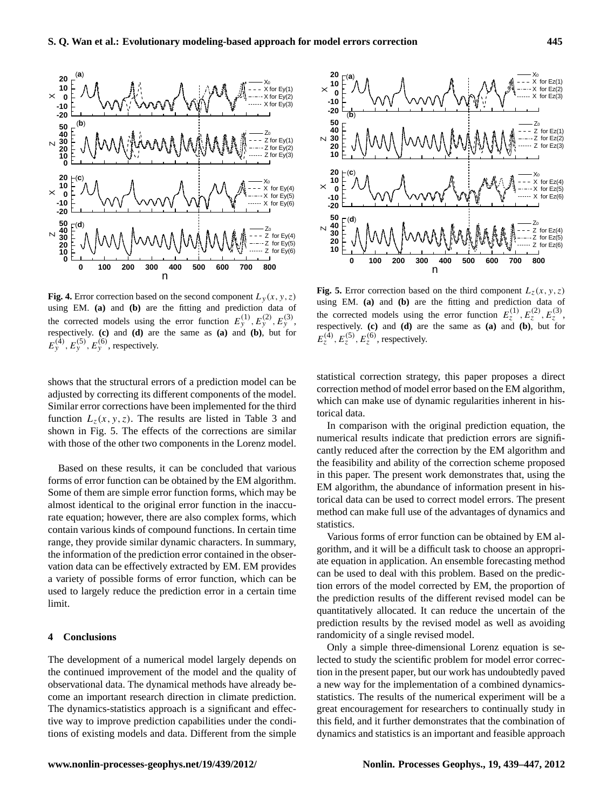

**Fig. 4.** Error correction based on the second component  $L_y(x, y, z)$ using EM. **(a)** and **(b)** are the fitting and prediction data of the corrected models using the error function  $E_y^{(1)}$ ,  $E_y^{(2)}$ ,  $E_y^{(3)}$ , respectively. **(c)** and **(d)** are the same as **(a)** and **(b)**, but for  $E_y^{(4)}$ ,  $E_y^{(5)}$ ,  $E_y^{(6)}$ , respectively.

shows that the structural errors of a prediction model can be adjusted by correcting its different components of the model. Similar error corrections have been implemented for the third function  $L_z(x, y, z)$ . The results are listed in Table 3 and shown in Fig. 5. The effects of the corrections are similar with those of the other two components in the Lorenz model.

Based on these results, it can be concluded that various forms of error function can be obtained by the EM algorithm. Some of them are simple error function forms, which may be almost identical to the original error function in the inaccurate equation; however, there are also complex forms, which contain various kinds of compound functions. In certain time range, they provide similar dynamic characters. In summary, the information of the prediction error contained in the observation data can be effectively extracted by EM. EM provides a variety of possible forms of error function, which can be used to largely reduce the prediction error in a certain time limit.

### **4 Conclusions**

The development of a numerical model largely depends on the continued improvement of the model and the quality of observational data. The dynamical methods have already become an important research direction in climate prediction. The dynamics-statistics approach is a significant and effective way to improve prediction capabilities under the conditions of existing models and data. Different from the simple



**Fig. 5.** Error correction based on the third component  $L_z(x, y, z)$ using EM. **(a)** and **(b)** are the fitting and prediction data of the corrected models using the error function  $E_z^{(1)}$ ,  $E_z^{(2)}$ ,  $E_z^{(3)}$ , respectively. **(c)** and **(d)** are the same as **(a)** and **(b)**, but for  $E_z^{(4)}$ ,  $E_z^{(5)}$ ,  $E_z^{(6)}$ , respectively.

statistical correction strategy, this paper proposes a direct correction method of model error based on the EM algorithm, which can make use of dynamic regularities inherent in historical data.

In comparison with the original prediction equation, the numerical results indicate that prediction errors are significantly reduced after the correction by the EM algorithm and the feasibility and ability of the correction scheme proposed in this paper. The present work demonstrates that, using the EM algorithm, the abundance of information present in historical data can be used to correct model errors. The present method can make full use of the advantages of dynamics and statistics.

Various forms of error function can be obtained by EM algorithm, and it will be a difficult task to choose an appropriate equation in application. An ensemble forecasting method can be used to deal with this problem. Based on the prediction errors of the model corrected by EM, the proportion of the prediction results of the different revised model can be quantitatively allocated. It can reduce the uncertain of the prediction results by the revised model as well as avoiding randomicity of a single revised model.

Only a simple three-dimensional Lorenz equation is selected to study the scientific problem for model error correction in the present paper, but our work has undoubtedly paved a new way for the implementation of a combined dynamicsstatistics. The results of the numerical experiment will be a great encouragement for researchers to continually study in this field, and it further demonstrates that the combination of dynamics and statistics is an important and feasible approach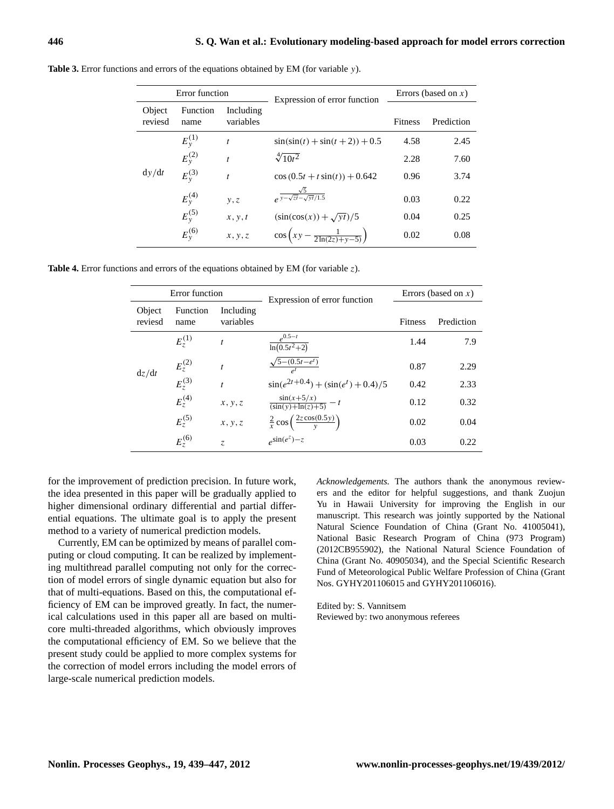| Error function    |                  |                        | Expression of error function                     | Errors (based on $x$ ) |            |
|-------------------|------------------|------------------------|--------------------------------------------------|------------------------|------------|
| Object<br>reviesd | Function<br>name | Including<br>variables |                                                  | <b>Fitness</b>         | Prediction |
|                   | $E_{v}^{(1)}$    | t                      | $sin(sin(t) + sin(t + 2)) + 0.5$                 | 4.58                   | 2.45       |
|                   | $E_{v}^{(2)}$    | $\dot{t}$              | $\sqrt[4]{10t^2}$                                | 2.28                   | 7.60       |
| dy/dt             | $E_{v}^{(3)}$    | t                      | $\cos(0.5t + t \sin(t)) + 0.642$                 | 0.96                   | 3.74       |
|                   | $E_{v}^{(4)}$    | y, z                   | $e^{\frac{\sqrt{5}}{y-\sqrt{zt}-\sqrt{yt}}/1.5}$ | 0.03                   | 0.22       |
|                   | $E_{v}^{(5)}$    | x, y, t                | $(\sin(\cos(x)) + \sqrt{yt})/5$                  | 0.04                   | 0.25       |
|                   | $E_{\nu}^{(6)}$  | x, y, z                | $\cos\left(xy-\frac{1}{2\ln(2z)+y-5)}\right)$    | 0.02                   | 0.08       |

**Table 3.** Error functions and errors of the equations obtained by EM (for variable y).

**Table 4.** Error functions and errors of the equations obtained by EM (for variable z).

| Error function    |                  |                        | Expression of error function                            | Errors (based on $x$ ) |            |
|-------------------|------------------|------------------------|---------------------------------------------------------|------------------------|------------|
| Object<br>reviesd | Function<br>name | Including<br>variables |                                                         | <b>Fitness</b>         | Prediction |
|                   | $E_{7}^{(1)}$    | t                      | $\frac{e^{0.5-t}}{\ln(0.5t^2+2)}$                       | 1.44                   | 7.9        |
| dz/dt             | $E_z^{(2)}$      | $\boldsymbol{t}$       | $\frac{\sqrt{5-(0.5t-e^t)}}{t}$                         | 0.87                   | 2.29       |
|                   | $E_{7}^{(3)}$    | $\boldsymbol{t}$       | $\sin(e^{2t+0.4}) + (\sin(e^t) + 0.4)/5$                | 0.42                   | 2.33       |
|                   | $E_{7}^{(4)}$    | x, y, z                | $\frac{\sin(x+5/x)}{(\sin(y)+\ln(z)+5)}-t$              | 0.12                   | 0.32       |
|                   | $E_{7}^{(5)}$    | x, y, z                | $\frac{2}{x}$ cos $\left(\frac{2z\cos(0.5y)}{y}\right)$ | 0.02                   | 0.04       |
|                   | $E_{7}^{(6)}$    | Z.                     | $e^{\sin(e^z)}$                                         | 0.03                   | 0.22       |

for the improvement of prediction precision. In future work, the idea presented in this paper will be gradually applied to higher dimensional ordinary differential and partial differential equations. The ultimate goal is to apply the present method to a variety of numerical prediction models.

Currently, EM can be optimized by means of parallel computing or cloud computing. It can be realized by implementing multithread parallel computing not only for the correction of model errors of single dynamic equation but also for that of multi-equations. Based on this, the computational efficiency of EM can be improved greatly. In fact, the numerical calculations used in this paper all are based on multicore multi-threaded algorithms, which obviously improves the computational efficiency of EM. So we believe that the present study could be applied to more complex systems for the correction of model errors including the model errors of large-scale numerical prediction models.

*Acknowledgements.* The authors thank the anonymous reviewers and the editor for helpful suggestions, and thank Zuojun Yu in Hawaii University for improving the English in our manuscript. This research was jointly supported by the National Natural Science Foundation of China (Grant No. 41005041), National Basic Research Program of China (973 Program) (2012CB955902), the National Natural Science Foundation of China (Grant No. 40905034), and the Special Scientific Research Fund of Meteorological Public Welfare Profession of China (Grant Nos. GYHY201106015 and GYHY201106016).

Edited by: S. Vannitsem Reviewed by: two anonymous referees